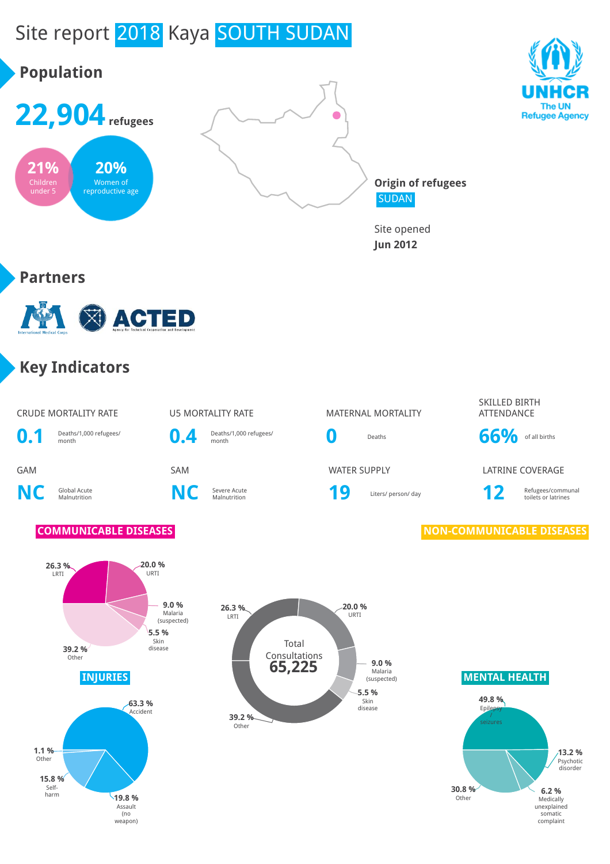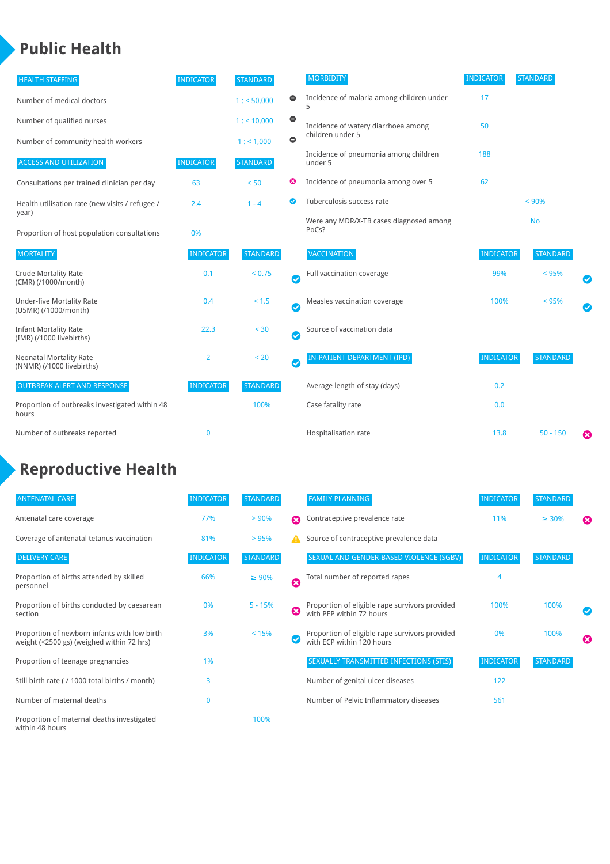### **Public Health**

| <b>HEALTH STAFFING</b>                                      | <b>INDICATOR</b> | <b>STANDARD</b> |           | <b>MORBIDITY</b>                                 | <b>INDICATOR</b> | <b>STANDARD</b> |   |
|-------------------------------------------------------------|------------------|-----------------|-----------|--------------------------------------------------|------------------|-----------------|---|
| Number of medical doctors                                   |                  | 1: 50,000       | $\bullet$ | Incidence of malaria among children under        | 17               |                 |   |
| Number of qualified nurses                                  |                  | $1:$ < 10,000   | $\bullet$ | Incidence of watery diarrhoea among              | 50               |                 |   |
| Number of community health workers                          |                  | 1:1,000         | $\bullet$ | children under 5                                 |                  |                 |   |
| <b>ACCESS AND UTILIZATION</b>                               | <b>INDICATOR</b> | <b>STANDARD</b> |           | Incidence of pneumonia among children<br>under 5 | 188              |                 |   |
| Consultations per trained clinician per day                 | 63               | < 50            | ☺         | Incidence of pneumonia among over 5              | 62               |                 |   |
| Health utilisation rate (new visits / refugee /             | 2.4              | $1 - 4$         | ◙         | Tuberculosis success rate                        |                  | < 90%           |   |
| year)<br>Proportion of host population consultations        | 0%               |                 |           | Were any MDR/X-TB cases diagnosed among<br>PoCs? |                  | <b>No</b>       |   |
| <b>MORTALITY</b>                                            | <b>INDICATOR</b> | <b>STANDARD</b> |           | <b>VACCINATION</b>                               | <b>INDICATOR</b> | <b>STANDARD</b> |   |
| <b>Crude Mortality Rate</b><br>(CMR) (/1000/month)          | 0.1              | < 0.75          | Ø         | Full vaccination coverage                        | 99%              | < 95%           |   |
| <b>Under-five Mortality Rate</b><br>(U5MR) (/1000/month)    | 0.4              | $< 1.5$         | Ø         | Measles vaccination coverage                     | 100%             | < 95%           |   |
| <b>Infant Mortality Rate</b><br>(IMR) (/1000 livebirths)    | 22.3             | $30$            | Ø         | Source of vaccination data                       |                  |                 |   |
| <b>Neonatal Mortality Rate</b><br>(NNMR) (/1000 livebirths) | 2                | < 20            | Ø         | IN-PATIENT DEPARTMENT (IPD)                      | <b>INDICATOR</b> | <b>STANDARD</b> |   |
| <b>OUTBREAK ALERT AND RESPONSE</b>                          | <b>INDICATOR</b> | <b>STANDARD</b> |           | Average length of stay (days)                    | 0.2              |                 |   |
| Proportion of outbreaks investigated within 48<br>hours     |                  | 100%            |           | Case fatality rate                               | 0.0              |                 |   |
| Number of outbreaks reported                                | 0                |                 |           | Hospitalisation rate                             | 13.8             | $50 - 150$      | ೞ |

## **Reproductive Health**

| <b>ANTENATAL CARE</b>                                                                     | <b>INDICATOR</b> | <b>STANDARD</b> |                       | <b>FAMILY PLANNING</b>                                                      | <b>INDICATOR</b> | <b>STANDARD</b> |                       |
|-------------------------------------------------------------------------------------------|------------------|-----------------|-----------------------|-----------------------------------------------------------------------------|------------------|-----------------|-----------------------|
| Antenatal care coverage                                                                   | 77%              | > 90%           | $\boldsymbol{\Omega}$ | Contraceptive prevalence rate                                               | 11%              | $\geq 30\%$     | $\boldsymbol{\Omega}$ |
| Coverage of antenatal tetanus vaccination                                                 | 81%              | >95%            | А                     | Source of contraceptive prevalence data                                     |                  |                 |                       |
| <b>DELIVERY CARE</b>                                                                      | <b>INDICATOR</b> | <b>STANDARD</b> |                       | SEXUAL AND GENDER-BASED VIOLENCE (SGBV)                                     | <b>INDICATOR</b> | <b>STANDARD</b> |                       |
| Proportion of births attended by skilled<br>personnel                                     | 66%              | $\geq 90\%$     | $\boldsymbol{\Omega}$ | Total number of reported rapes                                              | 4                |                 |                       |
| Proportion of births conducted by caesarean<br>section                                    | 0%               | $5 - 15%$       | ☎                     | Proportion of eligible rape survivors provided<br>with PEP within 72 hours  | 100%             | 100%            |                       |
| Proportion of newborn infants with low birth<br>weight (<2500 gs) (weighed within 72 hrs) | 3%               | < 15%           |                       | Proportion of eligible rape survivors provided<br>with ECP within 120 hours | 0%               | 100%            | $\boldsymbol{\Omega}$ |
| Proportion of teenage pregnancies                                                         | 1%               |                 |                       | SEXUALLY TRANSMITTED INFECTIONS (STIS)                                      | <b>INDICATOR</b> | <b>STANDARD</b> |                       |
| Still birth rate (/1000 total births / month)                                             | 3                |                 |                       | Number of genital ulcer diseases                                            | 122              |                 |                       |
| Number of maternal deaths                                                                 | $\mathbf{0}$     |                 |                       | Number of Pelvic Inflammatory diseases                                      | 561              |                 |                       |
| Proportion of maternal deaths investigated<br>within 48 hours                             |                  | 100%            |                       |                                                                             |                  |                 |                       |